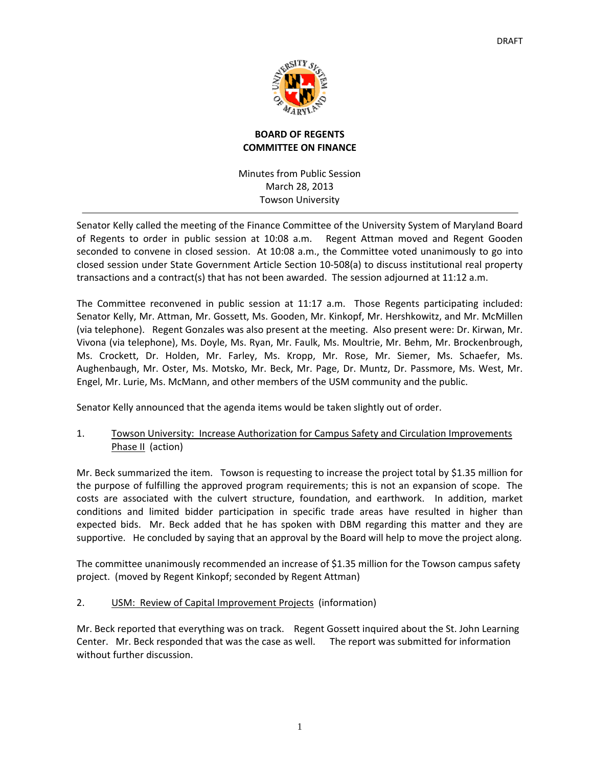

# **BOARD OF REGENTS COMMITTEE ON FINANCE**

Minutes from Public Session March 28, 2013 Towson University

Senator Kelly called the meeting of the Finance Committee of the University System of Maryland Board of Regents to order in public session at 10:08 a.m. Regent Attman moved and Regent Gooden seconded to convene in closed session. At 10:08 a.m., the Committee voted unanimously to go into closed session under State Government Article Section 10‐508(a) to discuss institutional real property transactions and a contract(s) that has not been awarded. The session adjourned at 11:12 a.m.

The Committee reconvened in public session at 11:17 a.m. Those Regents participating included: Senator Kelly, Mr. Attman, Mr. Gossett, Ms. Gooden, Mr. Kinkopf, Mr. Hershkowitz, and Mr. McMillen (via telephone). Regent Gonzales was also present at the meeting. Also present were: Dr. Kirwan, Mr. Vivona (via telephone), Ms. Doyle, Ms. Ryan, Mr. Faulk, Ms. Moultrie, Mr. Behm, Mr. Brockenbrough, Ms. Crockett, Dr. Holden, Mr. Farley, Ms. Kropp, Mr. Rose, Mr. Siemer, Ms. Schaefer, Ms. Aughenbaugh, Mr. Oster, Ms. Motsko, Mr. Beck, Mr. Page, Dr. Muntz, Dr. Passmore, Ms. West, Mr. Engel, Mr. Lurie, Ms. McMann, and other members of the USM community and the public.

Senator Kelly announced that the agenda items would be taken slightly out of order.

1. Towson University: Increase Authorization for Campus Safety and Circulation Improvements Phase II (action)

Mr. Beck summarized the item. Towson is requesting to increase the project total by \$1.35 million for the purpose of fulfilling the approved program requirements; this is not an expansion of scope. The costs are associated with the culvert structure, foundation, and earthwork. In addition, market conditions and limited bidder participation in specific trade areas have resulted in higher than expected bids. Mr. Beck added that he has spoken with DBM regarding this matter and they are supportive. He concluded by saying that an approval by the Board will help to move the project along.

The committee unanimously recommended an increase of \$1.35 million for the Towson campus safety project. (moved by Regent Kinkopf; seconded by Regent Attman)

# 2. USM: Review of Capital Improvement Projects (information)

Mr. Beck reported that everything was on track. Regent Gossett inquired about the St. John Learning Center. Mr. Beck responded that was the case as well. The report was submitted for information without further discussion.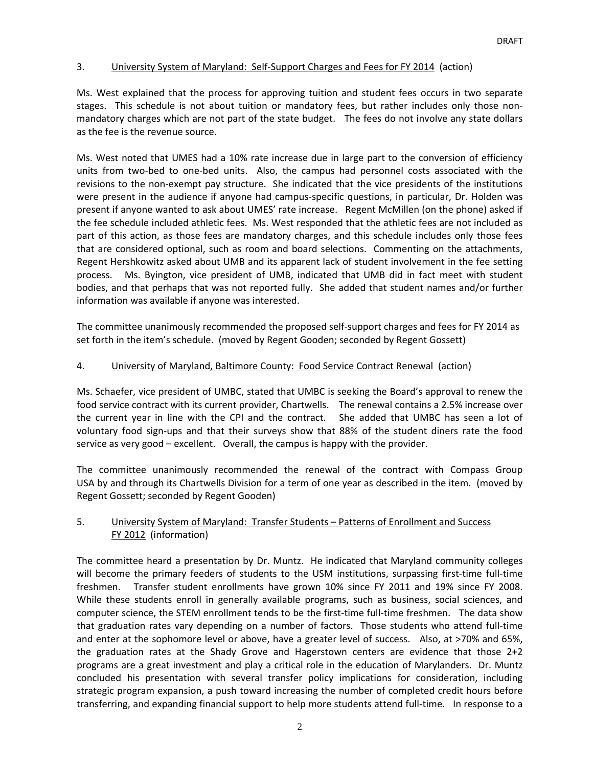# 3. University System of Maryland: Self-Support Charges and Fees for FY 2014 (action)

Ms. West explained that the process for approving tuition and student fees occurs in two separate stages. This schedule is not about tuition or mandatory fees, but rather includes only those nonmandatory charges which are not part of the state budget. The fees do not involve any state dollars as the fee is the revenue source.

Ms. West noted that UMES had a 10% rate increase due in large part to the conversion of efficiency units from two-bed to one-bed units. Also, the campus had personnel costs associated with the revisions to the non‐exempt pay structure. She indicated that the vice presidents of the institutions were present in the audience if anyone had campus-specific questions, in particular, Dr. Holden was present if anyone wanted to ask about UMES' rate increase. Regent McMillen (on the phone) asked if the fee schedule included athletic fees. Ms. West responded that the athletic fees are not included as part of this action, as those fees are mandatory charges, and this schedule includes only those fees that are considered optional, such as room and board selections. Commenting on the attachments, Regent Hershkowitz asked about UMB and its apparent lack of student involvement in the fee setting process. Ms. Byington, vice president of UMB, indicated that UMB did in fact meet with student bodies, and that perhaps that was not reported fully. She added that student names and/or further information was available if anyone was interested.

The committee unanimously recommended the proposed self‐support charges and fees for FY 2014 as set forth in the item's schedule. (moved by Regent Gooden; seconded by Regent Gossett)

# 4. University of Maryland, Baltimore County: Food Service Contract Renewal (action)

Ms. Schaefer, vice president of UMBC, stated that UMBC is seeking the Board's approval to renew the food service contract with its current provider, Chartwells. The renewal contains a 2.5% increase over the current year in line with the CPI and the contract. She added that UMBC has seen a lot of voluntary food sign‐ups and that their surveys show that 88% of the student diners rate the food service as very good – excellent. Overall, the campus is happy with the provider.

The committee unanimously recommended the renewal of the contract with Compass Group USA by and through its Chartwells Division for a term of one year as described in the item. (moved by Regent Gossett; seconded by Regent Gooden)

# 5. University System of Maryland: Transfer Students – Patterns of Enrollment and Success FY 2012 (information)

The committee heard a presentation by Dr. Muntz. He indicated that Maryland community colleges will become the primary feeders of students to the USM institutions, surpassing first-time full-time freshmen. Transfer student enrollments have grown 10% since FY 2011 and 19% since FY 2008. While these students enroll in generally available programs, such as business, social sciences, and computer science, the STEM enrollment tends to be the first-time full-time freshmen. The data show that graduation rates vary depending on a number of factors. Those students who attend full‐time and enter at the sophomore level or above, have a greater level of success. Also, at >70% and 65%, the graduation rates at the Shady Grove and Hagerstown centers are evidence that those 2+2 programs are a great investment and play a critical role in the education of Marylanders. Dr. Muntz concluded his presentation with several transfer policy implications for consideration, including strategic program expansion, a push toward increasing the number of completed credit hours before transferring, and expanding financial support to help more students attend full‐time. In response to a